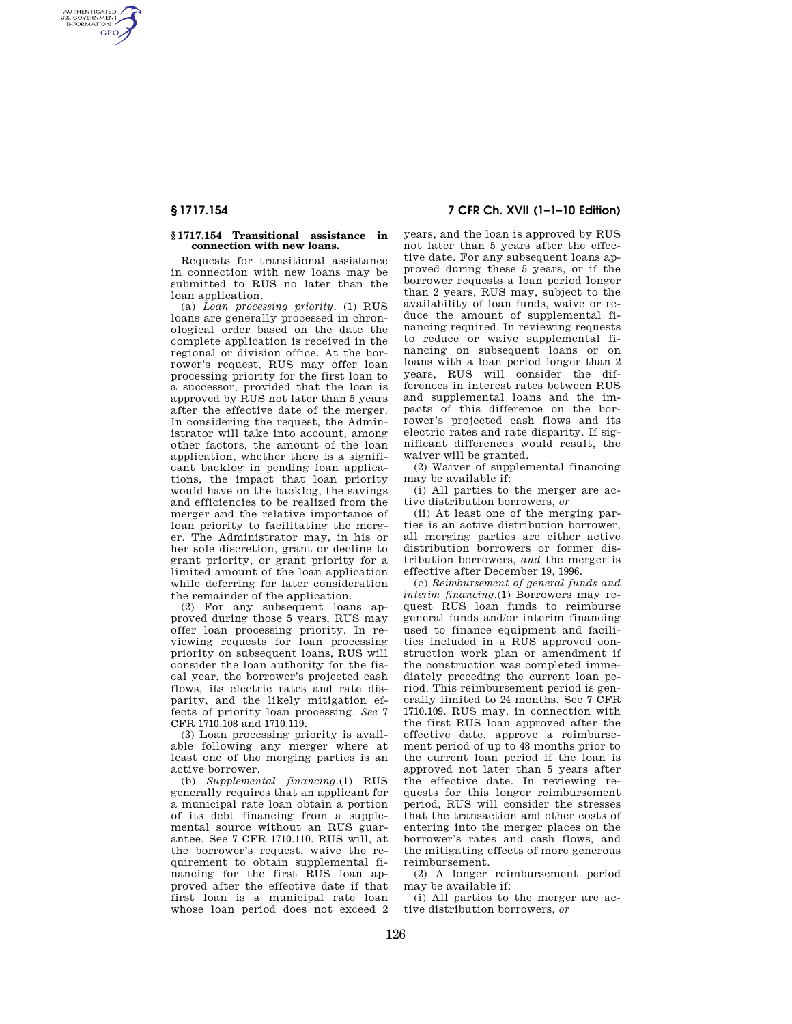AUTHENTICATED<br>U.S. GOVERNMENT<br>INFORMATION **GPO** 

#### **§ 1717.154 Transitional assistance in connection with new loans.**

Requests for transitional assistance in connection with new loans may be submitted to RUS no later than the loan application.

(a) *Loan processing priority.* (1) RUS loans are generally processed in chronological order based on the date the complete application is received in the regional or division office. At the borrower's request, RUS may offer loan processing priority for the first loan to a successor, provided that the loan is approved by RUS not later than 5 years after the effective date of the merger. In considering the request, the Administrator will take into account, among other factors, the amount of the loan application, whether there is a significant backlog in pending loan applications, the impact that loan priority would have on the backlog, the savings and efficiencies to be realized from the merger and the relative importance of loan priority to facilitating the merger. The Administrator may, in his or her sole discretion, grant or decline to grant priority, or grant priority for a limited amount of the loan application while deferring for later consideration the remainder of the application.

(2) For any subsequent loans approved during those 5 years, RUS may offer loan processing priority. In reviewing requests for loan processing priority on subsequent loans, RUS will consider the loan authority for the fiscal year, the borrower's projected cash flows, its electric rates and rate disparity, and the likely mitigation effects of priority loan processing. *See* 7 CFR 1710.108 and 1710.119.

(3) Loan processing priority is available following any merger where at least one of the merging parties is an active borrower.

(b) *Supplemental financing.*(1) RUS generally requires that an applicant for a municipal rate loan obtain a portion of its debt financing from a supplemental source without an RUS guarantee. See 7 CFR 1710.110. RUS will, at the borrower's request, waive the requirement to obtain supplemental financing for the first RUS loan approved after the effective date if that first loan is a municipal rate loan whose loan period does not exceed 2

# **§ 1717.154 7 CFR Ch. XVII (1–1–10 Edition)**

years, and the loan is approved by RUS not later than 5 years after the effective date. For any subsequent loans approved during these 5 years, or if the borrower requests a loan period longer than 2 years, RUS may, subject to the availability of loan funds, waive or reduce the amount of supplemental financing required. In reviewing requests to reduce or waive supplemental financing on subsequent loans or on loans with a loan period longer than 2 years, RUS will consider the differences in interest rates between RUS and supplemental loans and the impacts of this difference on the borrower's projected cash flows and its electric rates and rate disparity. If significant differences would result, the waiver will be granted.

(2) Waiver of supplemental financing may be available if:

(i) All parties to the merger are active distribution borrowers, *or* 

(ii) At least one of the merging parties is an active distribution borrower, all merging parties are either active distribution borrowers or former distribution borrowers, *and* the merger is effective after December 19, 1996.

(c) *Reimbursement of general funds and interim financing.*(1) Borrowers may request RUS loan funds to reimburse general funds and/or interim financing used to finance equipment and facilities included in a RUS approved construction work plan or amendment if the construction was completed immediately preceding the current loan period. This reimbursement period is generally limited to 24 months. See 7 CFR 1710.109. RUS may, in connection with the first RUS loan approved after the effective date, approve a reimbursement period of up to 48 months prior to the current loan period if the loan is approved not later than 5 years after the effective date. In reviewing requests for this longer reimbursement period, RUS will consider the stresses that the transaction and other costs of entering into the merger places on the borrower's rates and cash flows, and the mitigating effects of more generous reimbursement.

(2) A longer reimbursement period may be available if:

(i) All parties to the merger are active distribution borrowers, *or*